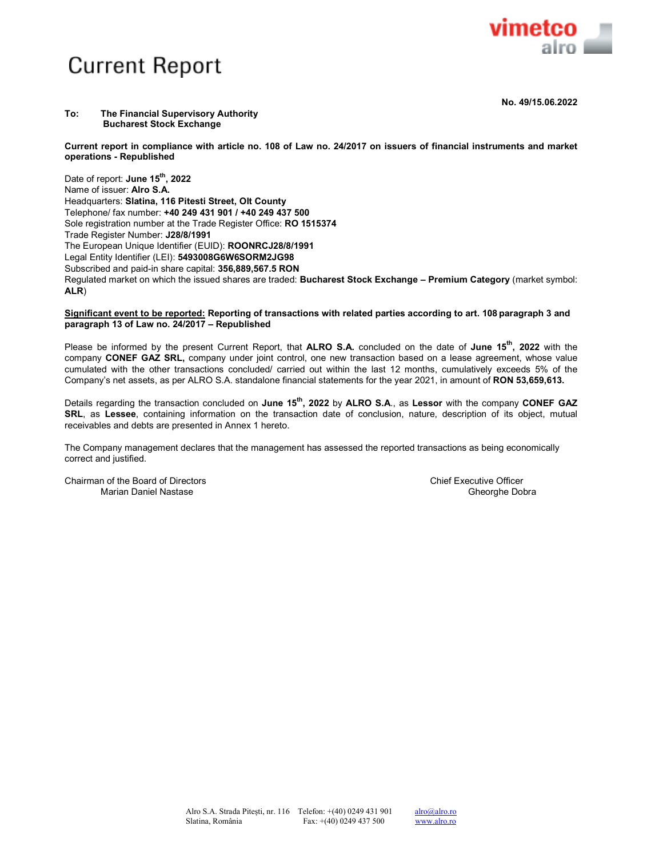

**No. 49/15.06.2022** 

## **To: The Financial Supervisory Authority Bucharest Stock Exchange**

**Current report in compliance with article no. 108 of Law no. 24/2017 on issuers of financial instruments and market operations - Republished** 

Date of report: **June 15th, 2022**  Name of issuer: **Alro S.A.** Headquarters: **Slatina, 116 Pitesti Street, Olt County** Telephone/ fax number: **+40 249 431 901 / +40 249 437 500** Sole registration number at the Trade Register Office: **RO 1515374** Trade Register Number: **J28/8/1991** The European Unique Identifier (EUID): **ROONRCJ28/8/1991**  Legal Entity Identifier (LEI): **5493008G6W6SORM2JG98** Subscribed and paid-in share capital: **356,889,567.5 RON** Regulated market on which the issued shares are traded: **Bucharest Stock Exchange – Premium Category** (market symbol: **ALR**)

## **Significant event to be reported: Reporting of transactions with related parties according to art. 108 paragraph 3 and paragraph 13 of Law no. 24/2017 – Republished**

Please be informed by the present Current Report, that **ALRO S.A.** concluded on the date of **June 15th, 2022** with the company **CONEF GAZ SRL,** company under joint control, one new transaction based on a lease agreement, whose value cumulated with the other transactions concluded/ carried out within the last 12 months, cumulatively exceeds 5% of the Company's net assets, as per ALRO S.A. standalone financial statements for the year 2021, in amount of **RON 53,659,613.** 

Details regarding the transaction concluded on **June 15th, 2022** by **ALRO S.A**., as **Lessor** with the company **CONEF GAZ SRL**, as **Lessee**, containing information on the transaction date of conclusion, nature, description of its object, mutual receivables and debts are presented in Annex 1 hereto.

The Company management declares that the management has assessed the reported transactions as being economically correct and justified.

Chairman of the Board of Directors Chief Executive Officer Chairman of the Board of Directors Chief Executive Officer Marian Daniel Nastase Gheorghe Dobra